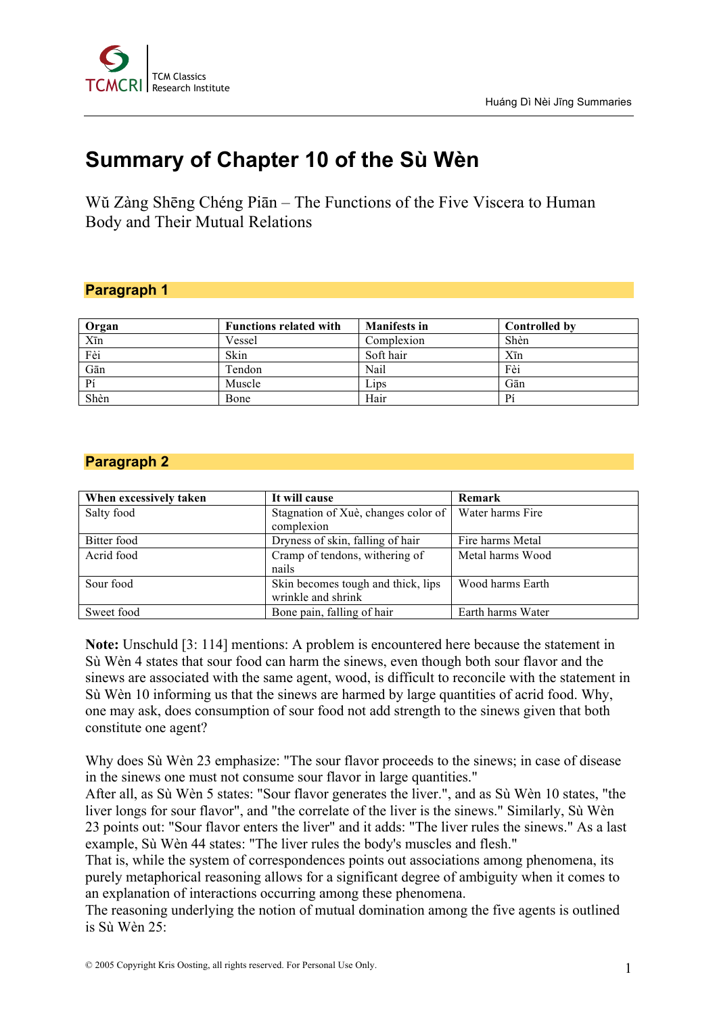

# **Summary of Chapter 10 of the Sù Wèn**

Wŭ Zàng Shēng Chéng Piān – The Functions of the Five Viscera to Human Body and Their Mutual Relations

# **Paragraph 1**

| Organ | <b>Functions related with</b> | <b>Manifests in</b> | <b>Controlled by</b> |
|-------|-------------------------------|---------------------|----------------------|
| Xīn   | Vessel                        | Complexion          | Shèn                 |
| Fèi   | Skin                          | Soft hair           | Xīn                  |
| Gān   | Tendon                        | Nail                | Fèi                  |
| Pí    | Muscle                        | Lips                | Gān                  |
| Shèn  | Bone                          | Hair                | Pí                   |

# **Paragraph 2**

| When excessively taken | It will cause                       | Remark            |
|------------------------|-------------------------------------|-------------------|
| Salty food             | Stagnation of Xuè, changes color of | Water harms Fire  |
|                        | complexion                          |                   |
| Bitter food            | Dryness of skin, falling of hair    | Fire harms Metal  |
| Acrid food             | Cramp of tendons, withering of      | Metal harms Wood  |
|                        | nails                               |                   |
| Sour food              | Skin becomes tough and thick, lips  | Wood harms Earth  |
|                        | wrinkle and shrink                  |                   |
| Sweet food             | Bone pain, falling of hair          | Earth harms Water |

**Note:** Unschuld [3: 114] mentions: A problem is encountered here because the statement in Sù Wèn 4 states that sour food can harm the sinews, even though both sour flavor and the sinews are associated with the same agent, wood, is difficult to reconcile with the statement in Sù Wèn 10 informing us that the sinews are harmed by large quantities of acrid food. Why, one may ask, does consumption of sour food not add strength to the sinews given that both constitute one agent?

Why does Sù Wèn 23 emphasize: "The sour flavor proceeds to the sinews; in case of disease in the sinews one must not consume sour flavor in large quantities."

After all, as Sù Wèn 5 states: "Sour flavor generates the liver.", and as Sù Wèn 10 states, "the liver longs for sour flavor", and "the correlate of the liver is the sinews." Similarly, Sù Wèn 23 points out: "Sour flavor enters the liver" and it adds: "The liver rules the sinews." As a last example, Sù Wèn 44 states: "The liver rules the body's muscles and flesh."

That is, while the system of correspondences points out associations among phenomena, its purely metaphorical reasoning allows for a significant degree of ambiguity when it comes to an explanation of interactions occurring among these phenomena.

The reasoning underlying the notion of mutual domination among the five agents is outlined is Sù Wèn 25: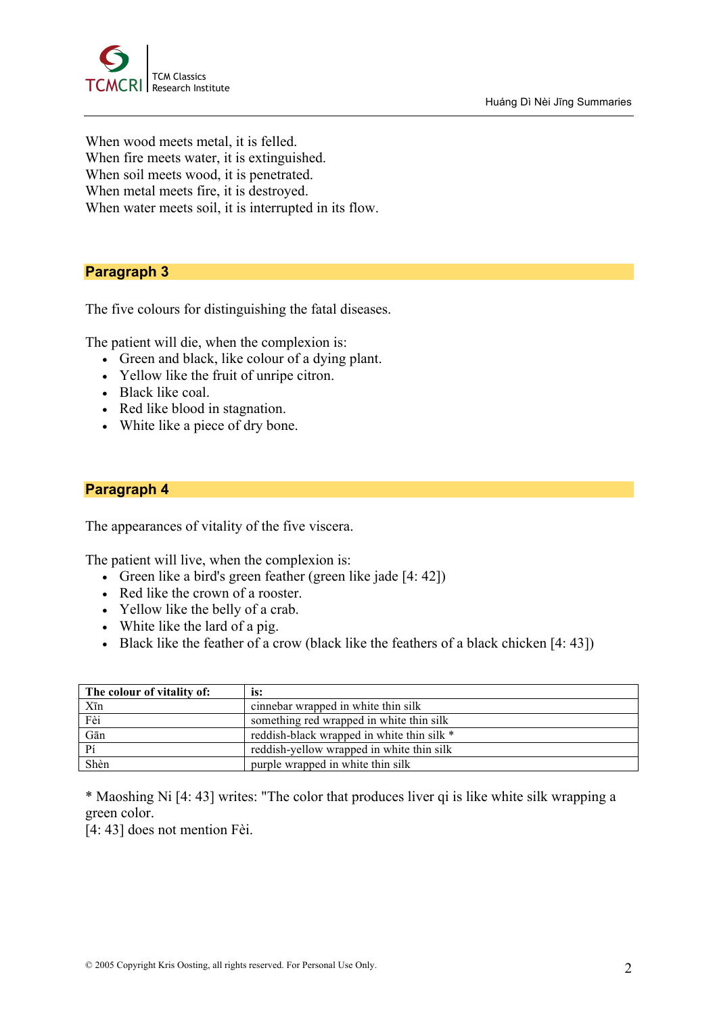

When wood meets metal, it is felled. When fire meets water, it is extinguished. When soil meets wood, it is penetrated. When metal meets fire, it is destroyed. When water meets soil, it is interrupted in its flow.

# **Paragraph 3**

The five colours for distinguishing the fatal diseases.

The patient will die, when the complexion is:

- Green and black, like colour of a dying plant.
- Yellow like the fruit of unripe citron.
- Black like coal.
- Red like blood in stagnation.
- White like a piece of dry bone.

#### **Paragraph 4**

The appearances of vitality of the five viscera.

The patient will live, when the complexion is:

- Green like a bird's green feather (green like jade [4: 42])
- Red like the crown of a rooster.
- Yellow like the belly of a crab.
- White like the lard of a pig.
- Black like the feather of a crow (black like the feathers of a black chicken [4: 43])

| The colour of vitality of: | is:                                        |
|----------------------------|--------------------------------------------|
| Xīn                        | cinnebar wrapped in white thin silk        |
| Fèi                        | something red wrapped in white thin silk   |
| Gān                        | reddish-black wrapped in white thin silk * |
| Pí                         | reddish-yellow wrapped in white thin silk  |
| Shèn                       | purple wrapped in white thin silk          |

\* Maoshing Ni [4: 43] writes: "The color that produces liver qi is like white silk wrapping a green color.

[4: 43] does not mention Fèi.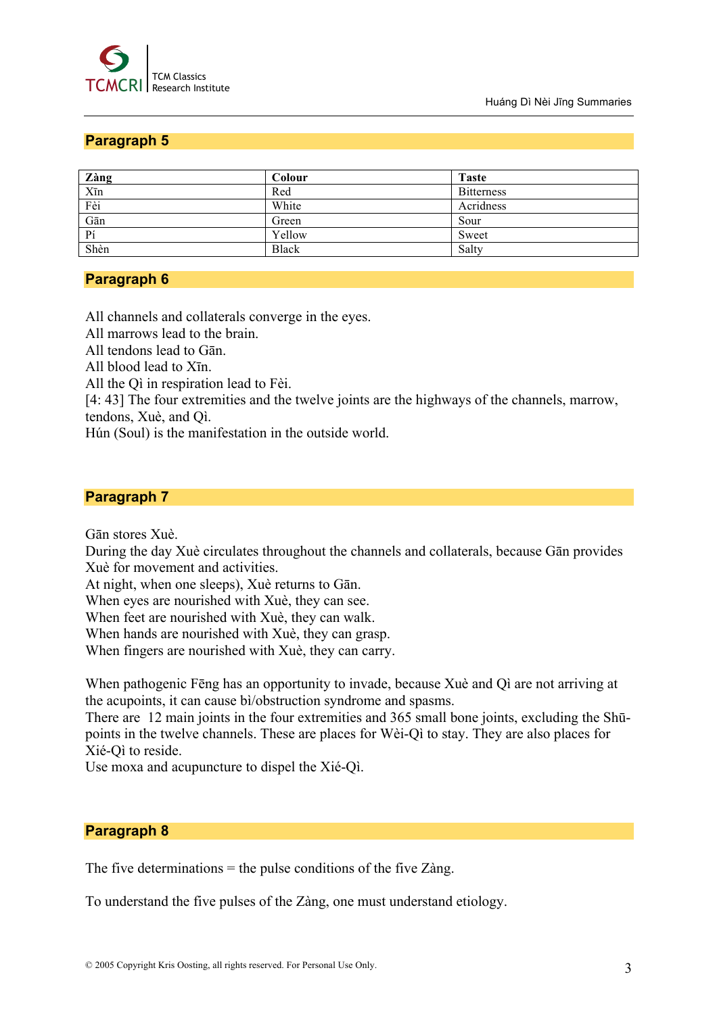

Huáng Dì Nèi Jīng Summaries

# **Paragraph 5**

| Zàng | Colour       | <b>Taste</b>      |
|------|--------------|-------------------|
| Xīn  | Red          | <b>Bitterness</b> |
| Fèi  | White        | Acridness         |
| Gān  | Green        | Sour              |
| Pí   | Yellow       | Sweet             |
| Shèn | <b>Black</b> | Salty             |

#### **Paragraph 6**

All channels and collaterals converge in the eyes.

All marrows lead to the brain.

All tendons lead to Gān.

All blood lead to Xīn.

All the Qì in respiration lead to Fèi.

[4: 43] The four extremities and the twelve joints are the highways of the channels, marrow, tendons, Xuè, and Qì.

Hún (Soul) is the manifestation in the outside world.

#### **Paragraph 7**

Gān stores Xuè.

During the day Xuè circulates throughout the channels and collaterals, because Gān provides Xuè for movement and activities.

At night, when one sleeps), Xuè returns to Gān.

When eyes are nourished with Xuè, they can see.

When feet are nourished with Xuè, they can walk.

When hands are nourished with Xuè, they can grasp.

When fingers are nourished with Xuè, they can carry.

When pathogenic Fēng has an opportunity to invade, because Xuè and Qì are not arriving at the acupoints, it can cause bì/obstruction syndrome and spasms.

There are 12 main joints in the four extremities and 365 small bone joints, excluding the Shūpoints in the twelve channels. These are places for Wèi-Qì to stay. They are also places for Xié-Qì to reside.

Use moxa and acupuncture to dispel the Xié-Qì.

#### **Paragraph 8**

The five determinations  $=$  the pulse conditions of the five Zàng.

To understand the five pulses of the Zàng, one must understand etiology.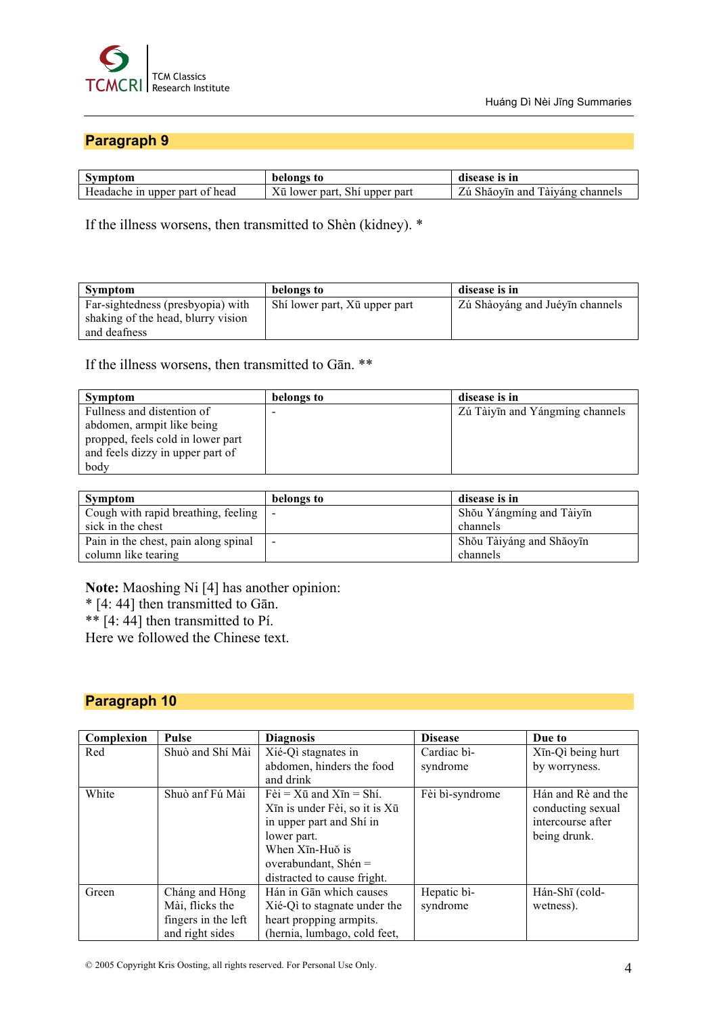

# **Paragraph 9**

| Symptom                        | belongs to                    | disease is in                   |
|--------------------------------|-------------------------------|---------------------------------|
| Headache in upper part of head | Xū lower part, Shí upper part | Zú Shăovīn and Tàiyáng channels |

If the illness worsens, then transmitted to Shèn (kidney). \*

| Symptom                            | belongs to                    | disease is in                   |
|------------------------------------|-------------------------------|---------------------------------|
| Far-sightedness (presbyopia) with  | Shi lower part, Xū upper part | Zú Shàoyáng and Juéyīn channels |
| shaking of the head, blurry vision |                               |                                 |
| and deafness                       |                               |                                 |

If the illness worsens, then transmitted to Gān. \*\*

| <b>Symptom</b>                    | belongs to | disease is in                   |
|-----------------------------------|------------|---------------------------------|
| Fullness and distention of        |            | Zú Tàiyīn and Yángmíng channels |
| abdomen, armpit like being        |            |                                 |
| propped, feels cold in lower part |            |                                 |
| and feels dizzy in upper part of  |            |                                 |
| body                              |            |                                 |

| <b>Symptom</b>                       | belongs to | disease is in            |
|--------------------------------------|------------|--------------------------|
| Cough with rapid breathing, feeling  |            | Shou Yángmíng and Tàiyīn |
| sick in the chest                    |            | channels                 |
| Pain in the chest, pain along spinal |            | Shou Tàiyáng and Shāoyīn |
| column like tearing                  |            | channels                 |

**Note:** Maoshing Ni [4] has another opinion:

\* [4: 44] then transmitted to Gān.

\*\*  $[4:44]$  then transmitted to Pí.

Here we followed the Chinese text.

# **Paragraph 10**

| Complexion | <b>Pulse</b>        | <b>Diagnosis</b>                              | <b>Disease</b>  | Due to             |
|------------|---------------------|-----------------------------------------------|-----------------|--------------------|
| Red        | Shuò and Shí Mài    | Xié-Qì stagnates in                           | Cardiac bì-     | Xīn-Qì being hurt  |
|            |                     | abdomen, hinders the food                     | syndrome        | by worryness.      |
|            |                     | and drink                                     |                 |                    |
| White      | Shuò anf Fú Mài     | $F\hat{e}i = X\bar{u}$ and $X\bar{n} = Shi$ . | Fèi bì-syndrome | Hán and Rè and the |
|            |                     | Xīn is under Fèi, so it is Xū                 |                 | conducting sexual  |
|            |                     | in upper part and Shi in                      |                 | intercourse after  |
|            |                     | lower part.                                   |                 | being drunk.       |
|            |                     | When Xīn-Huŏ is                               |                 |                    |
|            |                     | overabundant, Shén $=$                        |                 |                    |
|            |                     | distracted to cause fright.                   |                 |                    |
| Green      | Cháng and Hong      | Hán in Gān which causes                       | Hepatic bi-     | Hán-Shī (cold-     |
|            | Mài, flicks the     | Xié-Qì to stagnate under the                  | syndrome        | wetness).          |
|            | fingers in the left | heart propping armpits.                       |                 |                    |
|            | and right sides     | (hernia, lumbago, cold feet,                  |                 |                    |